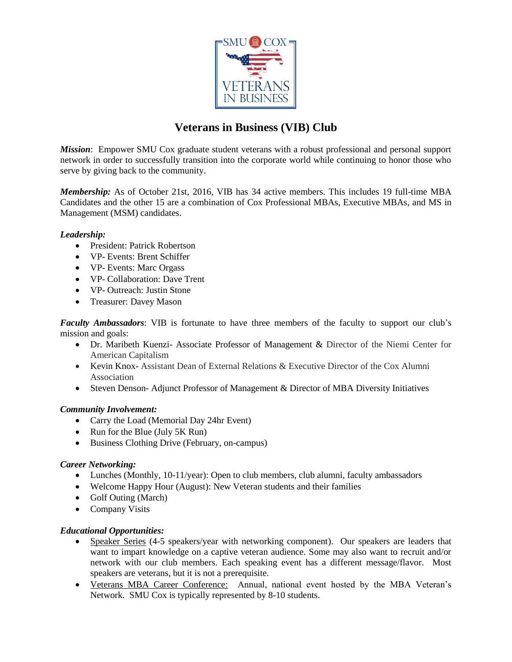

# **Veterans in Business (VIB) Club**

*Mission*: Empower SMU Cox graduate student veterans with a robust professional and personal support network in order to successfully transition into the corporate world while continuing to honor those who serve by giving back to the community.

*Membership:* As of October 21st, 2016, VIB has 34 active members. This includes 19 full-time MBA Candidates and the other 15 are a combination of Cox Professional MBAs, Executive MBAs, and MS in Management (MSM) candidates.

### *Leadership:*

- President: Patrick Robertson
- VP- Events: Brent Schiffer
- VP- Events: Marc Orgass
- VP- Collaboration: Dave Trent
- VP- Outreach: Justin Stone
- Treasurer: Davey Mason

*Faculty Ambassadors*: VIB is fortunate to have three members of the faculty to support our club's mission and goals:

- Dr. Maribeth Kuenzi- Associate Professor of Management & Director of the Niemi Center for American Capitalism
- Kevin Knox- Assistant Dean of External Relations & Executive Director of the Cox Alumni Association
- Steven Denson- Adjunct Professor of Management & Director of MBA Diversity Initiatives

## *Community Involvement:*

- Carry the Load [\(Memorial Day 24hr Event\)](http://www.carrytheload.org/site/PageServer?pagename=home)
- Run for the Blue (July 5K Run)
- Business Clothing Drive (February, on-campus)

## *Career Networking:*

- Lunches (Monthly, 10-11/year): Open to club members, club alumni, faculty ambassadors
- Welcome Happy Hour (August): New Veteran students and their families
- Golf Outing (March)
- Company Visits

## *Educational Opportunities:*

- Speaker Series (4-5 speakers/year with networking component). Our speakers are leaders that want to impart knowledge on a captive veteran audience. Some may also want to recruit and/or network with our club members. Each speaking event has a different message/flavor. Most speakers are veterans, but it is not a prerequisite.
- [Veterans MBA Career Conference:](http://preview.mbaveterans.com/) Annual, national event hosted by the MBA Veteran's Network. SMU Cox is typically represented by 8-10 students.